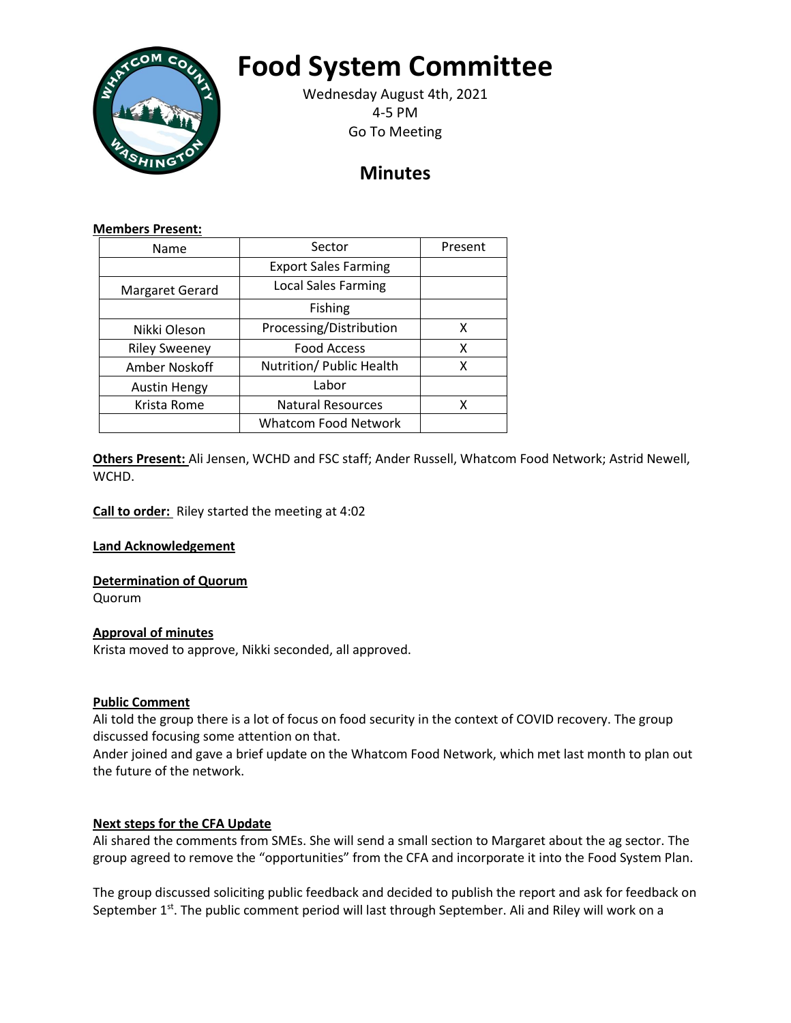

# **Food System Committee**

Wednesday August 4th, 2021 4-5 PM Go To Meeting

# **Minutes**

#### **Members Present:**

| Name                 | Sector                      | Present |
|----------------------|-----------------------------|---------|
|                      | <b>Export Sales Farming</b> |         |
| Margaret Gerard      | <b>Local Sales Farming</b>  |         |
|                      | Fishing                     |         |
| Nikki Oleson         | Processing/Distribution     | x       |
| <b>Riley Sweeney</b> | <b>Food Access</b>          | x       |
| Amber Noskoff        | Nutrition/ Public Health    | x       |
| <b>Austin Hengy</b>  | Labor                       |         |
| Krista Rome          | <b>Natural Resources</b>    | x       |
|                      | <b>Whatcom Food Network</b> |         |

**Others Present:** Ali Jensen, WCHD and FSC staff; Ander Russell, Whatcom Food Network; Astrid Newell, WCHD.

**Call to order:** Riley started the meeting at 4:02

**Land Acknowledgement**

#### **Determination of Quorum**

Quorum

#### **Approval of minutes**

Krista moved to approve, Nikki seconded, all approved.

## **Public Comment**

Ali told the group there is a lot of focus on food security in the context of COVID recovery. The group discussed focusing some attention on that.

Ander joined and gave a brief update on the Whatcom Food Network, which met last month to plan out the future of the network.

## **Next steps for the CFA Update**

Ali shared the comments from SMEs. She will send a small section to Margaret about the ag sector. The group agreed to remove the "opportunities" from the CFA and incorporate it into the Food System Plan.

The group discussed soliciting public feedback and decided to publish the report and ask for feedback on September  $1^{st}$ . The public comment period will last through September. Ali and Riley will work on a